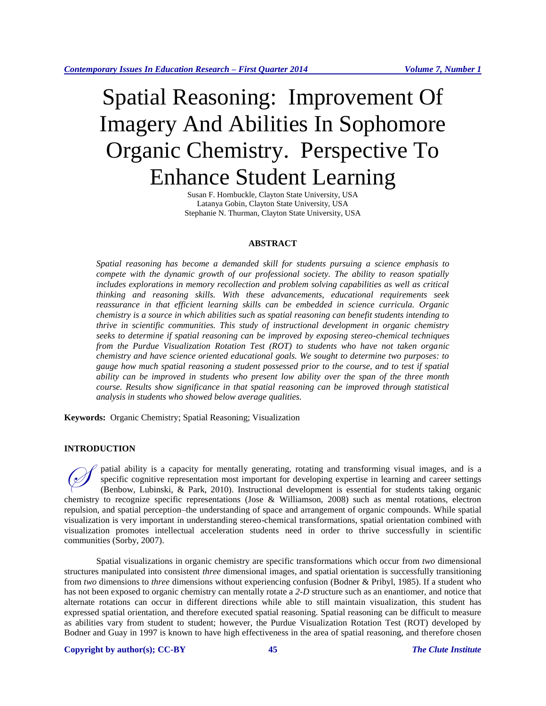# Spatial Reasoning: Improvement Of Imagery And Abilities In Sophomore Organic Chemistry. Perspective To Enhance Student Learning

Susan F. Hornbuckle, Clayton State University, USA Latanya Gobin, Clayton State University, USA Stephanie N. Thurman, Clayton State University, USA

#### **ABSTRACT**

*Spatial reasoning has become a demanded skill for students pursuing a science emphasis to compete with the dynamic growth of our professional society. The ability to reason spatially includes explorations in memory recollection and problem solving capabilities as well as critical thinking and reasoning skills. With these advancements, educational requirements seek reassurance in that efficient learning skills can be embedded in science curricula. Organic chemistry is a source in which abilities such as spatial reasoning can benefit students intending to thrive in scientific communities. This study of instructional development in organic chemistry seeks to determine if spatial reasoning can be improved by exposing stereo-chemical techniques from the Purdue Visualization Rotation Test (ROT) to students who have not taken organic chemistry and have science oriented educational goals. We sought to determine two purposes: to gauge how much spatial reasoning a student possessed prior to the course, and to test if spatial ability can be improved in students who present low ability over the span of the three month course. Results show significance in that spatial reasoning can be improved through statistical analysis in students who showed below average qualities.*

**Keywords:** Organic Chemistry; Spatial Reasoning; Visualization

#### **INTRODUCTION**

patial ability is a capacity for mentally generating, rotating and transforming visual images, and is a specific cognitive representation most important for developing expertise in learning and career settings (Benbow, Lubinski, & Park, 2010). Instructional development is essential for students taking organic chemistry to recognize specific representations (Jose & Williamson, 2008) such as mental rotations, electron repulsion, and spatial perception–the understanding of space and arrangement of organic compounds. While spatial visualization is very important in understanding stereo-chemical transformations, spatial orientation combined with visualization promotes intellectual acceleration students need in order to thrive successfully in scientific communities (Sorby, 2007).  $\oslash$ 

Spatial visualizations in organic chemistry are specific transformations which occur from *two* dimensional structures manipulated into consistent *three* dimensional images, and spatial orientation is successfully transitioning from *two* dimensions to *three* dimensions without experiencing confusion (Bodner & Pribyl, 1985). If a student who has not been exposed to organic chemistry can mentally rotate a *2-D* structure such as an enantiomer, and notice that alternate rotations can occur in different directions while able to still maintain visualization, this student has expressed spatial orientation, and therefore executed spatial reasoning. Spatial reasoning can be difficult to measure as abilities vary from student to student; however, the Purdue Visualization Rotation Test (ROT) developed by Bodner and Guay in 1997 is known to have high effectiveness in the area of spatial reasoning, and therefore chosen

#### **Copyright by author(s); CC-BY 45** *The Clute Institute*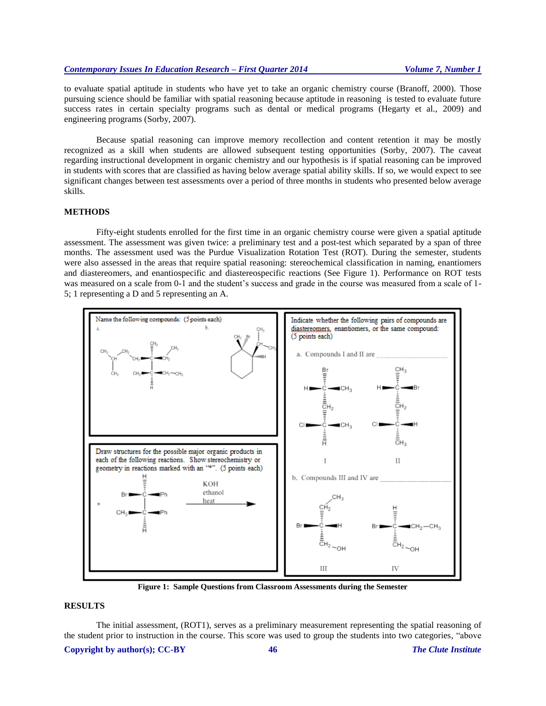to evaluate spatial aptitude in students who have yet to take an organic chemistry course (Branoff, 2000). Those pursuing science should be familiar with spatial reasoning because aptitude in reasoning is tested to evaluate future success rates in certain specialty programs such as dental or medical programs (Hegarty et al., 2009) and engineering programs (Sorby, 2007).

Because spatial reasoning can improve memory recollection and content retention it may be mostly recognized as a skill when students are allowed subsequent testing opportunities (Sorby, 2007). The caveat regarding instructional development in organic chemistry and our hypothesis is if spatial reasoning can be improved in students with scores that are classified as having below average spatial ability skills. If so, we would expect to see significant changes between test assessments over a period of three months in students who presented below average skills.

## **METHODS**

Fifty-eight students enrolled for the first time in an organic chemistry course were given a spatial aptitude assessment. The assessment was given twice: a preliminary test and a post-test which separated by a span of three months. The assessment used was the Purdue Visualization Rotation Test (ROT). During the semester, students were also assessed in the areas that require spatial reasoning: stereochemical classification in naming, enantiomers and diastereomers, and enantiospecific and diastereospecific reactions (See Figure 1). Performance on ROT tests was measured on a scale from 0-1 and the student's success and grade in the course was measured from a scale of 1- 5; 1 representing a D and 5 representing an A.



**Figure 1: Sample Questions from Classroom Assessments during the Semester**

## **RESULTS**

The initial assessment, (ROT1), serves as a preliminary measurement representing the spatial reasoning of the student prior to instruction in the course. This score was used to group the students into two categories, "above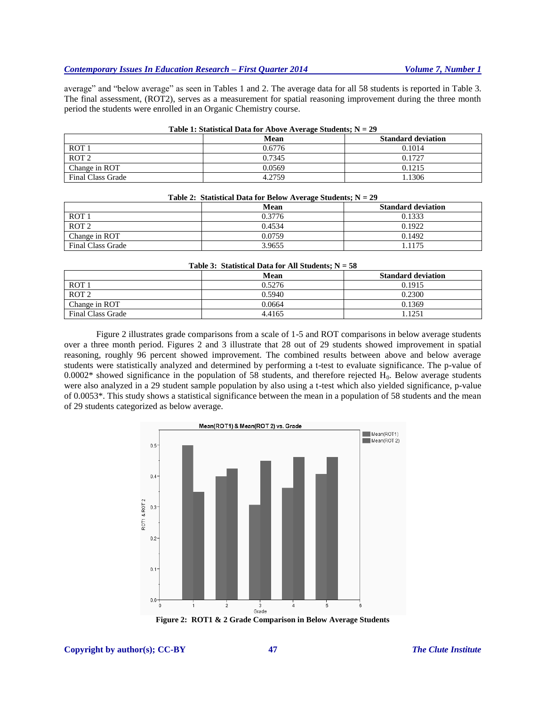## *Contemporary Issues In Education Research – First Quarter 2014 Volume 7, Number 1*

average" and "below average" as seen in Tables 1 and 2. The average data for all 58 students is reported in Table 3. The final assessment, (ROT2), serves as a measurement for spatial reasoning improvement during the three month period the students were enrolled in an Organic Chemistry course.

|                          | <b>Mean</b> | <b>Standard deviation</b> |
|--------------------------|-------------|---------------------------|
| ROT <sub>1</sub>         | 0.6776      | 0.1014                    |
| ROT <sub>2</sub>         | 0.7345      | 0.1727                    |
| Change in ROT            | 0.0569      | 0.1215                    |
| <b>Final Class Grade</b> | 4.2759      | 1.1306                    |

| Table 2: Statistical Data for Below Average Students; $N = 29$ |        |                           |  |
|----------------------------------------------------------------|--------|---------------------------|--|
|                                                                | Mean   | <b>Standard deviation</b> |  |
| ROT <sub>1</sub>                                               | 0.3776 | 0.1333                    |  |
| ROT <sub>2</sub>                                               | 0.4534 | 0.1922                    |  |
| Change in ROT                                                  | 0.0759 | 0.1492                    |  |
| Final Class Grade                                              | 3.9655 | l 1175                    |  |

# **Table 2: Statistical Data for Below Average Students; N = 29**

#### **Table 3: Statistical Data for All Students; N = 58**

|                          | Mean   | <b>Standard deviation</b> |
|--------------------------|--------|---------------------------|
| ROT <sub>1</sub>         | 0.5276 | 0.1915                    |
| ROT <sub>2</sub>         | 0.5940 | 0.2300                    |
| Change in ROT            | 0.0664 | 0.1369                    |
| <b>Final Class Grade</b> | 4.4165 | .1251                     |

Figure 2 illustrates grade comparisons from a scale of 1-5 and ROT comparisons in below average students over a three month period. Figures 2 and 3 illustrate that 28 out of 29 students showed improvement in spatial reasoning, roughly 96 percent showed improvement. The combined results between above and below average students were statistically analyzed and determined by performing a t-test to evaluate significance. The p-value of  $0.0002*$  showed significance in the population of 58 students, and therefore rejected  $H<sub>0</sub>$ . Below average students were also analyzed in a 29 student sample population by also using a t-test which also yielded significance, p-value of 0.0053\*. This study shows a statistical significance between the mean in a population of 58 students and the mean of 29 students categorized as below average.



**Figure 2: ROT1 & 2 Grade Comparison in Below Average Students**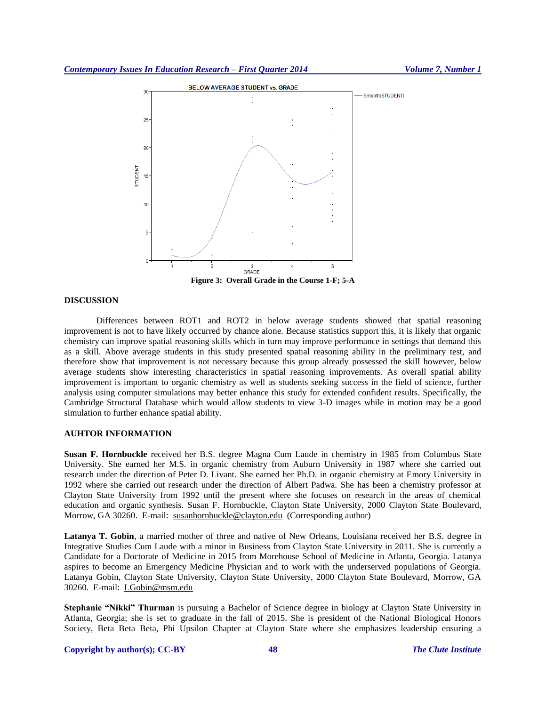

**Figure 3: Overall Grade in the Course 1-F; 5-A**

### **DISCUSSION**

Differences between ROT1 and ROT2 in below average students showed that spatial reasoning improvement is not to have likely occurred by chance alone. Because statistics support this, it is likely that organic chemistry can improve spatial reasoning skills which in turn may improve performance in settings that demand this as a skill. Above average students in this study presented spatial reasoning ability in the preliminary test, and therefore show that improvement is not necessary because this group already possessed the skill however, below average students show interesting characteristics in spatial reasoning improvements. As overall spatial ability improvement is important to organic chemistry as well as students seeking success in the field of science, further analysis using computer simulations may better enhance this study for extended confident results. Specifically, the Cambridge Structural Database which would allow students to view 3-D images while in motion may be a good simulation to further enhance spatial ability.

#### **AUHTOR INFORMATION**

**Susan F. Hornbuckle** received her B.S. degree Magna Cum Laude in chemistry in 1985 from Columbus State University. She earned her M.S. in organic chemistry from Auburn University in 1987 where she carried out research under the direction of Peter D. Livant. She earned her Ph.D. in organic chemistry at Emory University in 1992 where she carried out research under the direction of Albert Padwa. She has been a chemistry professor at Clayton State University from 1992 until the present where she focuses on research in the areas of chemical education and organic synthesis. Susan F. Hornbuckle, Clayton State University, 2000 Clayton State Boulevard, Morrow, GA 30260. E-mail: [susanhornbuckle@clayton.edu](mailto:susanhornbuckle@clayton.edu) (Corresponding author)

**Latanya T. Gobin**, a married mother of three and native of New Orleans, Louisiana received her B.S. degree in Integrative Studies Cum Laude with a minor in Business from Clayton State University in 2011. She is currently a Candidate for a Doctorate of Medicine in 2015 from Morehouse School of Medicine in Atlanta, Georgia. Latanya aspires to become an Emergency Medicine Physician and to work with the underserved populations of Georgia. Latanya Gobin, Clayton State University, Clayton State University, 2000 Clayton State Boulevard, Morrow, GA 30260. E-mail: [LGobin@msm.edu](mailto:LGobin@msm.edu)

**Stephanie "Nikki" Thurman** is pursuing a Bachelor of Science degree in biology at Clayton State University in Atlanta, Georgia; she is set to graduate in the fall of 2015. She is president of the National Biological Honors Society, Beta Beta Beta, Phi Upsilon Chapter at Clayton State where she emphasizes leadership ensuring a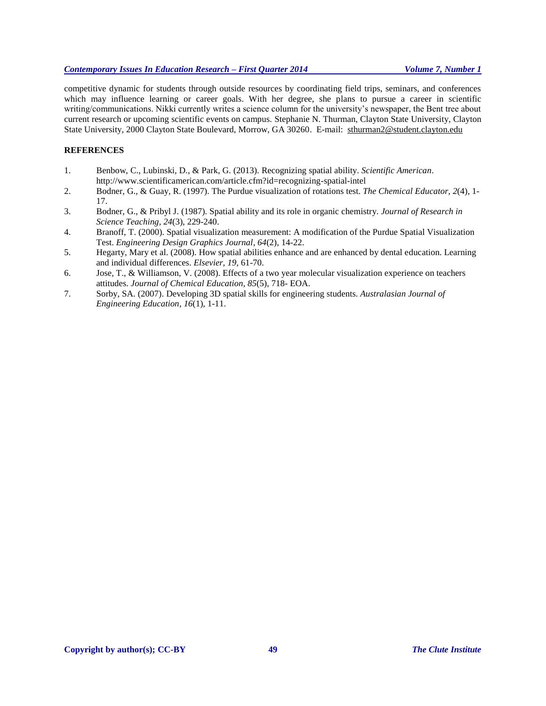# *Contemporary Issues In Education Research – First Quarter 2014 Volume 7, Number 1*

competitive dynamic for students through outside resources by coordinating field trips, seminars, and conferences which may influence learning or career goals. With her degree, she plans to pursue a career in scientific writing/communications. Nikki currently writes a science column for the university's newspaper, the Bent tree about current research or upcoming scientific events on campus. Stephanie N. Thurman, Clayton State University, Clayton State University, 2000 Clayton State Boulevard, Morrow, GA 30260. E-mail: [sthurman2@student.clayton.edu](mailto:sthurman2@student.clayton.edu)

## **REFERENCES**

- 1. Benbow, C., Lubinski, D., & Park, G. (2013). Recognizing spatial ability. *Scientific American*. <http://www.scientificamerican.com/article.cfm?id=recognizing-spatial-intel>
- 2. Bodner, G., & Guay, R. (1997). The Purdue visualization of rotations test. *The Chemical Educator, 2*(4), 1- 17.
- 3. Bodner, G., & Pribyl J. (1987). Spatial ability and its role in organic chemistry. *Journal of Research in Science Teaching, 24*(3), 229-240.
- 4. Branoff, T. (2000). Spatial visualization measurement: A modification of the Purdue Spatial Visualization Test. *Engineering Design Graphics Journal, 64*(2), 14-22.
- 5. Hegarty, Mary et al. (2008). How spatial abilities enhance and are enhanced by dental education. Learning and individual differences. *Elsevier, 19*, 61-70.
- 6. Jose, T., & Williamson, V. (2008). Effects of a two year molecular visualization experience on teachers attitudes. *Journal of Chemical Education, 85*(5), 718- EOA.
- 7. Sorby, SA. (2007). Developing 3D spatial skills for engineering students. *Australasian Journal of Engineering Education, 16*(1), 1-11.